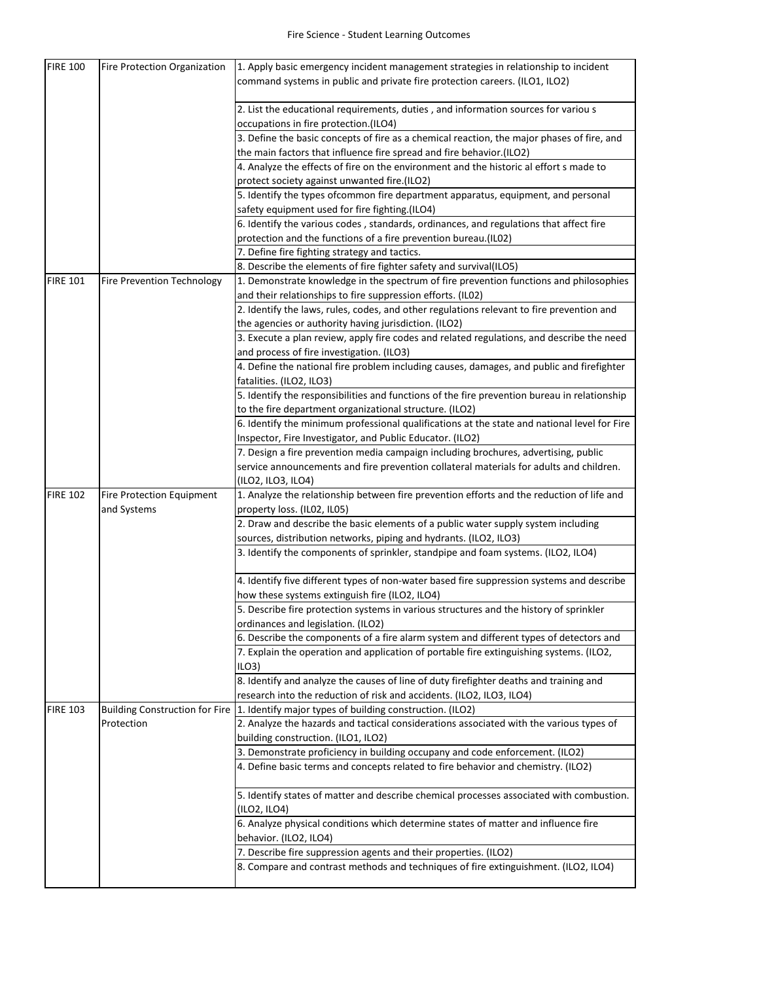| <b>FIRE 100</b> | <b>Fire Protection Organization</b>      | 1. Apply basic emergency incident management strategies in relationship to incident<br>command systems in public and private fire protection careers. (ILO1, ILO2) |
|-----------------|------------------------------------------|--------------------------------------------------------------------------------------------------------------------------------------------------------------------|
|                 |                                          | 2. List the educational requirements, duties, and information sources for variou s<br>occupations in fire protection.(ILO4)                                        |
|                 |                                          | 3. Define the basic concepts of fire as a chemical reaction, the major phases of fire, and<br>the main factors that influence fire spread and fire behavior.(ILO2) |
|                 |                                          | 4. Analyze the effects of fire on the environment and the historic al effort s made to<br>protect society against unwanted fire.(ILO2)                             |
|                 |                                          | 5. Identify the types ofcommon fire department apparatus, equipment, and personal<br>safety equipment used for fire fighting.(ILO4)                                |
|                 |                                          | 6. Identify the various codes, standards, ordinances, and regulations that affect fire<br>protection and the functions of a fire prevention bureau.(IL02)          |
|                 |                                          | 7. Define fire fighting strategy and tactics.                                                                                                                      |
|                 |                                          | 8. Describe the elements of fire fighter safety and survival(ILO5)                                                                                                 |
| <b>FIRE 101</b> | Fire Prevention Technology               | 1. Demonstrate knowledge in the spectrum of fire prevention functions and philosophies<br>and their relationships to fire suppression efforts. (IL02)              |
|                 |                                          | 2. Identify the laws, rules, codes, and other regulations relevant to fire prevention and<br>the agencies or authority having jurisdiction. (ILO2)                 |
|                 |                                          | 3. Execute a plan review, apply fire codes and related regulations, and describe the need<br>and process of fire investigation. (ILO3)                             |
|                 |                                          | 4. Define the national fire problem including causes, damages, and public and firefighter<br>fatalities. (ILO2, ILO3)                                              |
|                 |                                          | 5. Identify the responsibilities and functions of the fire prevention bureau in relationship<br>to the fire department organizational structure. (ILO2)            |
|                 |                                          | 6. Identify the minimum professional qualifications at the state and national level for Fire                                                                       |
|                 |                                          | Inspector, Fire Investigator, and Public Educator. (ILO2)                                                                                                          |
|                 |                                          | 7. Design a fire prevention media campaign including brochures, advertising, public                                                                                |
|                 |                                          | service announcements and fire prevention collateral materials for adults and children.<br>(ILO2, ILO3, ILO4)                                                      |
| <b>FIRE 102</b> | Fire Protection Equipment<br>and Systems | 1. Analyze the relationship between fire prevention efforts and the reduction of life and<br>property loss. (IL02, IL05)                                           |
|                 |                                          | 2. Draw and describe the basic elements of a public water supply system including                                                                                  |
|                 |                                          | sources, distribution networks, piping and hydrants. (ILO2, ILO3)                                                                                                  |
|                 |                                          | 3. Identify the components of sprinkler, standpipe and foam systems. (ILO2, ILO4)                                                                                  |
|                 |                                          | 4. Identify five different types of non-water based fire suppression systems and describe<br>how these systems extinguish fire (ILO2, ILO4)                        |
|                 |                                          | 5. Describe fire protection systems in various structures and the history of sprinkler<br>ordinances and legislation. (ILO2)                                       |
|                 |                                          | 6. Describe the components of a fire alarm system and different types of detectors and                                                                             |
|                 |                                          | 7. Explain the operation and application of portable fire extinguishing systems. (ILO2,<br>ILO3                                                                    |
|                 |                                          | 8. Identify and analyze the causes of line of duty firefighter deaths and training and                                                                             |
|                 |                                          | research into the reduction of risk and accidents. (ILO2, ILO3, ILO4)                                                                                              |
| <b>FIRE 103</b> | <b>Building Construction for Fire</b>    | 1. Identify major types of building construction. (ILO2)                                                                                                           |
|                 | Protection                               | 2. Analyze the hazards and tactical considerations associated with the various types of<br>building construction. (ILO1, ILO2)                                     |
|                 |                                          | 3. Demonstrate proficiency in building occupany and code enforcement. (ILO2)                                                                                       |
|                 |                                          | 4. Define basic terms and concepts related to fire behavior and chemistry. (ILO2)                                                                                  |
|                 |                                          | 5. Identify states of matter and describe chemical processes associated with combustion.<br>(ILO2, ILO4)                                                           |
|                 |                                          | 6. Analyze physical conditions which determine states of matter and influence fire<br>behavior. (ILO2, ILO4)                                                       |
|                 |                                          | 7. Describe fire suppression agents and their properties. (ILO2)                                                                                                   |
|                 |                                          | 8. Compare and contrast methods and techniques of fire extinguishment. (ILO2, ILO4)                                                                                |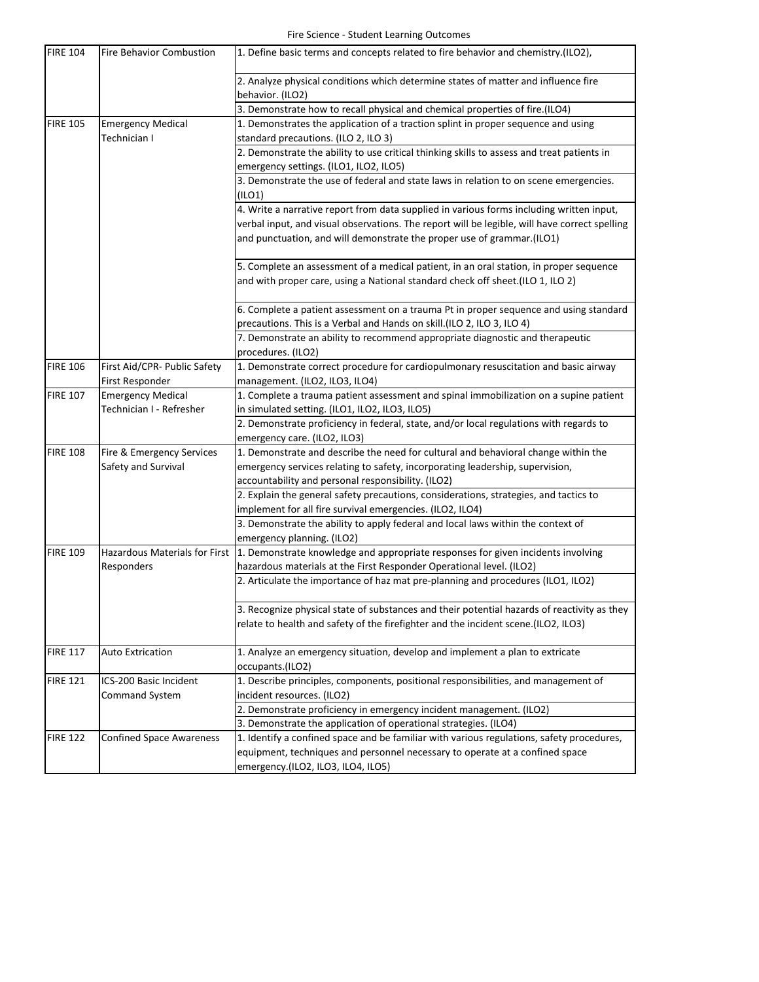| <b>FIRE 104</b> | <b>Fire Behavior Combustion</b>      | 1. Define basic terms and concepts related to fire behavior and chemistry.(ILO2),             |
|-----------------|--------------------------------------|-----------------------------------------------------------------------------------------------|
|                 |                                      | 2. Analyze physical conditions which determine states of matter and influence fire            |
|                 |                                      | behavior. (ILO2)                                                                              |
|                 |                                      | 3. Demonstrate how to recall physical and chemical properties of fire.(ILO4)                  |
| <b>FIRE 105</b> | <b>Emergency Medical</b>             | 1. Demonstrates the application of a traction splint in proper sequence and using             |
|                 | Technician I                         | standard precautions. (ILO 2, ILO 3)                                                          |
|                 |                                      | 2. Demonstrate the ability to use critical thinking skills to assess and treat patients in    |
|                 |                                      | emergency settings. (ILO1, ILO2, ILO5)                                                        |
|                 |                                      | 3. Demonstrate the use of federal and state laws in relation to on scene emergencies.         |
|                 |                                      | (ILO1)                                                                                        |
|                 |                                      | 4. Write a narrative report from data supplied in various forms including written input,      |
|                 |                                      | verbal input, and visual observations. The report will be legible, will have correct spelling |
|                 |                                      | and punctuation, and will demonstrate the proper use of grammar.(ILO1)                        |
|                 |                                      | 5. Complete an assessment of a medical patient, in an oral station, in proper sequence        |
|                 |                                      | and with proper care, using a National standard check off sheet. (ILO 1, ILO 2)               |
|                 |                                      | 6. Complete a patient assessment on a trauma Pt in proper sequence and using standard         |
|                 |                                      | precautions. This is a Verbal and Hands on skill. (ILO 2, ILO 3, ILO 4)                       |
|                 |                                      | 7. Demonstrate an ability to recommend appropriate diagnostic and therapeutic                 |
|                 |                                      | procedures. (ILO2)                                                                            |
| <b>FIRE 106</b> | First Aid/CPR- Public Safety         | 1. Demonstrate correct procedure for cardiopulmonary resuscitation and basic airway           |
|                 | First Responder                      | management. (ILO2, ILO3, ILO4)                                                                |
| <b>FIRE 107</b> | <b>Emergency Medical</b>             | 1. Complete a trauma patient assessment and spinal immobilization on a supine patient         |
|                 | Technician I - Refresher             | in simulated setting. (ILO1, ILO2, ILO3, ILO5)                                                |
|                 |                                      | 2. Demonstrate proficiency in federal, state, and/or local regulations with regards to        |
|                 |                                      | emergency care. (ILO2, ILO3)                                                                  |
| <b>FIRE 108</b> | Fire & Emergency Services            | 1. Demonstrate and describe the need for cultural and behavioral change within the            |
|                 | Safety and Survival                  | emergency services relating to safety, incorporating leadership, supervision,                 |
|                 |                                      | accountability and personal responsibility. (ILO2)                                            |
|                 |                                      | 2. Explain the general safety precautions, considerations, strategies, and tactics to         |
|                 |                                      | implement for all fire survival emergencies. (ILO2, ILO4)                                     |
|                 |                                      | 3. Demonstrate the ability to apply federal and local laws within the context of              |
|                 |                                      | emergency planning. (ILO2)                                                                    |
| <b>FIRE 109</b> | <b>Hazardous Materials for First</b> | 1. Demonstrate knowledge and appropriate responses for given incidents involving              |
|                 | Responders                           | hazardous materials at the First Responder Operational level. (ILO2)                          |
|                 |                                      | 2. Articulate the importance of haz mat pre-planning and procedures (ILO1, ILO2)              |
|                 |                                      |                                                                                               |
|                 |                                      | 3. Recognize physical state of substances and their potential hazards of reactivity as they   |
|                 |                                      | relate to health and safety of the firefighter and the incident scene.(ILO2, ILO3)            |
| <b>FIRE 117</b> | <b>Auto Extrication</b>              | 1. Analyze an emergency situation, develop and implement a plan to extricate                  |
|                 |                                      |                                                                                               |
|                 |                                      | occupants.(ILO2)                                                                              |
| <b>FIRE 121</b> | ICS-200 Basic Incident               | 1. Describe principles, components, positional responsibilities, and management of            |
|                 | <b>Command System</b>                | incident resources. (ILO2)                                                                    |
|                 |                                      | 2. Demonstrate proficiency in emergency incident management. (ILO2)                           |
|                 |                                      | 3. Demonstrate the application of operational strategies. (ILO4)                              |
| <b>FIRE 122</b> | <b>Confined Space Awareness</b>      | 1. Identify a confined space and be familiar with various regulations, safety procedures,     |
|                 |                                      | equipment, techniques and personnel necessary to operate at a confined space                  |
|                 |                                      | emergency.(ILO2, ILO3, ILO4, ILO5)                                                            |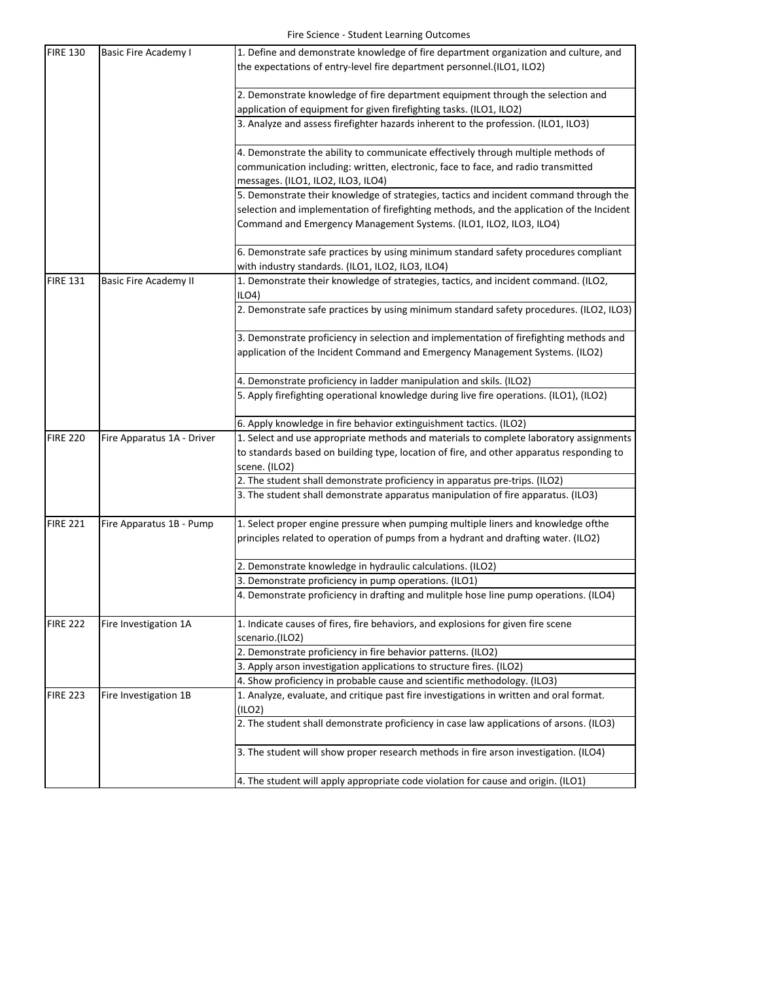| <b>FIRE 130</b> | <b>Basic Fire Academy I</b>  | 1. Define and demonstrate knowledge of fire department organization and culture, and      |
|-----------------|------------------------------|-------------------------------------------------------------------------------------------|
|                 |                              | the expectations of entry-level fire department personnel.(ILO1, ILO2)                    |
|                 |                              |                                                                                           |
|                 |                              | 2. Demonstrate knowledge of fire department equipment through the selection and           |
|                 |                              | application of equipment for given firefighting tasks. (ILO1, ILO2)                       |
|                 |                              | 3. Analyze and assess firefighter hazards inherent to the profession. (ILO1, ILO3)        |
|                 |                              |                                                                                           |
|                 |                              | 4. Demonstrate the ability to communicate effectively through multiple methods of         |
|                 |                              | communication including: written, electronic, face to face, and radio transmitted         |
|                 |                              | messages. (ILO1, ILO2, ILO3, ILO4)                                                        |
|                 |                              | 5. Demonstrate their knowledge of strategies, tactics and incident command through the    |
|                 |                              | selection and implementation of firefighting methods, and the application of the Incident |
|                 |                              | Command and Emergency Management Systems. (ILO1, ILO2, ILO3, ILO4)                        |
|                 |                              | 6. Demonstrate safe practices by using minimum standard safety procedures compliant       |
|                 |                              | with industry standards. (ILO1, ILO2, ILO3, ILO4)                                         |
| <b>FIRE 131</b> | <b>Basic Fire Academy II</b> | 1. Demonstrate their knowledge of strategies, tactics, and incident command. (ILO2,       |
|                 |                              | $ILO4$ )                                                                                  |
|                 |                              | 2. Demonstrate safe practices by using minimum standard safety procedures. (ILO2, ILO3)   |
|                 |                              | 3. Demonstrate proficiency in selection and implementation of firefighting methods and    |
|                 |                              | application of the Incident Command and Emergency Management Systems. (ILO2)              |
|                 |                              |                                                                                           |
|                 |                              | 4. Demonstrate proficiency in ladder manipulation and skils. (ILO2)                       |
|                 |                              | 5. Apply firefighting operational knowledge during live fire operations. (ILO1), (ILO2)   |
|                 |                              |                                                                                           |
|                 |                              | 6. Apply knowledge in fire behavior extinguishment tactics. (ILO2)                        |
| <b>FIRE 220</b> | Fire Apparatus 1A - Driver   | 1. Select and use appropriate methods and materials to complete laboratory assignments    |
|                 |                              | to standards based on building type, location of fire, and other apparatus responding to  |
|                 |                              | scene. (ILO2)                                                                             |
|                 |                              | 2. The student shall demonstrate proficiency in apparatus pre-trips. (ILO2)               |
|                 |                              | 3. The student shall demonstrate apparatus manipulation of fire apparatus. (ILO3)         |
| <b>FIRE 221</b> | Fire Apparatus 1B - Pump     | 1. Select proper engine pressure when pumping multiple liners and knowledge ofthe         |
|                 |                              | principles related to operation of pumps from a hydrant and drafting water. (ILO2)        |
|                 |                              |                                                                                           |
|                 |                              | 2. Demonstrate knowledge in hydraulic calculations. (ILO2)                                |
|                 |                              | 3. Demonstrate proficiency in pump operations. (ILO1)                                     |
|                 |                              | 4. Demonstrate proficiency in drafting and mulitple hose line pump operations. (ILO4)     |
| <b>FIRE 222</b> | Fire Investigation 1A        | 1. Indicate causes of fires, fire behaviors, and explosions for given fire scene          |
|                 |                              | scenario.(ILO2)                                                                           |
|                 |                              | 2. Demonstrate proficiency in fire behavior patterns. (ILO2)                              |
|                 |                              | 3. Apply arson investigation applications to structure fires. (ILO2)                      |
|                 |                              | 4. Show proficiency in probable cause and scientific methodology. (ILO3)                  |
| <b>FIRE 223</b> | Fire Investigation 1B        | 1. Analyze, evaluate, and critique past fire investigations in written and oral format.   |
|                 |                              | (ILO2)                                                                                    |
|                 |                              | 2. The student shall demonstrate proficiency in case law applications of arsons. (ILO3)   |
|                 |                              | 3. The student will show proper research methods in fire arson investigation. (ILO4)      |
|                 |                              | 4. The student will apply appropriate code violation for cause and origin. (ILO1)         |
|                 |                              |                                                                                           |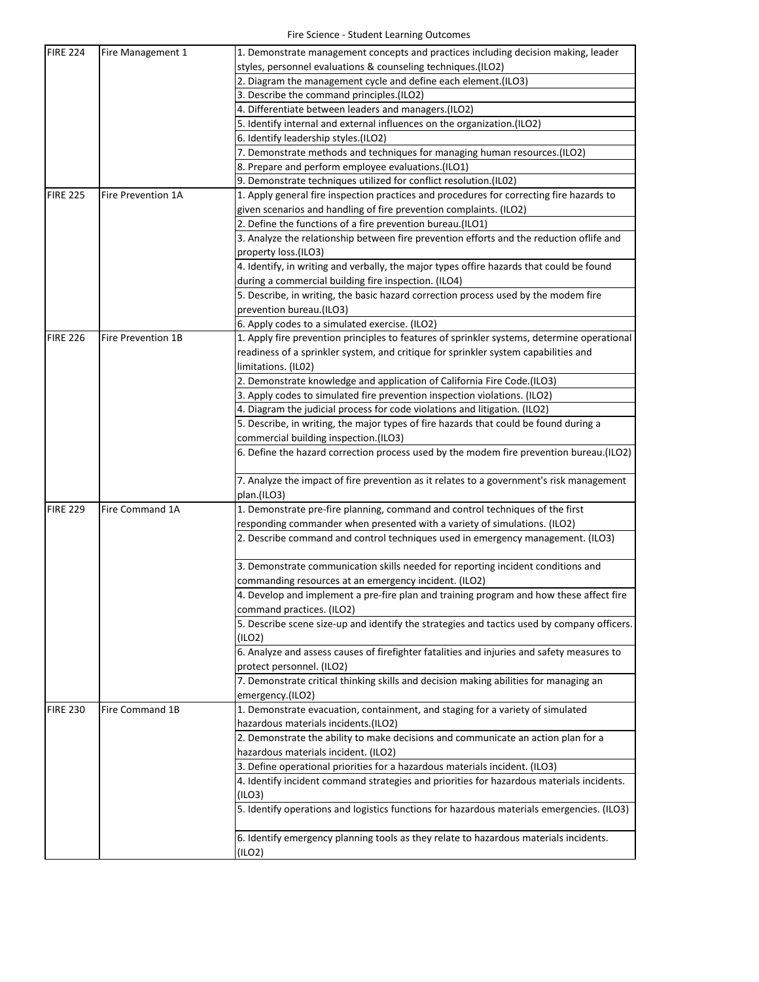| <b>FIRE 224</b> | Fire Management 1         | 1. Demonstrate management concepts and practices including decision making, leader          |
|-----------------|---------------------------|---------------------------------------------------------------------------------------------|
|                 |                           | styles, personnel evaluations & counseling techniques.(ILO2)                                |
|                 |                           | 2. Diagram the management cycle and define each element. (ILO3)                             |
|                 |                           | 3. Describe the command principles.(ILO2)                                                   |
|                 |                           | 4. Differentiate between leaders and managers.(ILO2)                                        |
|                 |                           | 5. Identify internal and external influences on the organization.(ILO2)                     |
|                 |                           | 6. Identify leadership styles.(ILO2)                                                        |
|                 |                           | 7. Demonstrate methods and techniques for managing human resources.(ILO2)                   |
|                 |                           | 8. Prepare and perform employee evaluations.(ILO1)                                          |
|                 |                           | 9. Demonstrate techniques utilized for conflict resolution.(IL02)                           |
| <b>FIRE 225</b> | <b>Fire Prevention 1A</b> | 1. Apply general fire inspection practices and procedures for correcting fire hazards to    |
|                 |                           | given scenarios and handling of fire prevention complaints. (ILO2)                          |
|                 |                           | 2. Define the functions of a fire prevention bureau.(ILO1)                                  |
|                 |                           | 3. Analyze the relationship between fire prevention efforts and the reduction oflife and    |
|                 |                           | property loss.(ILO3)                                                                        |
|                 |                           | 4. Identify, in writing and verbally, the major types offire hazards that could be found    |
|                 |                           | during a commercial building fire inspection. (ILO4)                                        |
|                 |                           | 5. Describe, in writing, the basic hazard correction process used by the modem fire         |
|                 |                           | prevention bureau.(ILO3)                                                                    |
|                 |                           | 6. Apply codes to a simulated exercise. (ILO2)                                              |
| <b>FIRE 226</b> | <b>Fire Prevention 1B</b> | 1. Apply fire prevention principles to features of sprinkler systems, determine operational |
|                 |                           | readiness of a sprinkler system, and critique for sprinkler system capabilities and         |
|                 |                           | limitations. (IL02)                                                                         |
|                 |                           | 2. Demonstrate knowledge and application of California Fire Code.(ILO3)                     |
|                 |                           | 3. Apply codes to simulated fire prevention inspection violations. (ILO2)                   |
|                 |                           | 4. Diagram the judicial process for code violations and litigation. (ILO2)                  |
|                 |                           | 5. Describe, in writing, the major types of fire hazards that could be found during a       |
|                 |                           | commercial building inspection.(ILO3)                                                       |
|                 |                           | 6. Define the hazard correction process used by the modem fire prevention bureau.(ILO2)     |
|                 |                           | 7. Analyze the impact of fire prevention as it relates to a government's risk management    |
|                 |                           | plan.(ILO3)                                                                                 |
| <b>FIRE 229</b> | Fire Command 1A           | 1. Demonstrate pre-fire planning, command and control techniques of the first               |
|                 |                           | responding commander when presented with a variety of simulations. (ILO2)                   |
|                 |                           | 2. Describe command and control techniques used in emergency management. (ILO3)             |
|                 |                           | 3. Demonstrate communication skills needed for reporting incident conditions and            |
|                 |                           | commanding resources at an emergency incident. (ILO2)                                       |
|                 |                           | 4. Develop and implement a pre-fire plan and training program and how these affect fire     |
|                 |                           | command practices. (ILO2)                                                                   |
|                 |                           | 5. Describe scene size-up and identify the strategies and tactics used by company officers. |
|                 |                           | (ILO2)                                                                                      |
|                 |                           | 6. Analyze and assess causes of firefighter fatalities and injuries and safety measures to  |
|                 |                           | protect personnel. (ILO2)                                                                   |
|                 |                           | 7. Demonstrate critical thinking skills and decision making abilities for managing an       |
|                 |                           | emergency.(ILO2)                                                                            |
| <b>FIRE 230</b> | <b>Fire Command 1B</b>    | 1. Demonstrate evacuation, containment, and staging for a variety of simulated              |
|                 |                           | hazardous materials incidents.(ILO2)                                                        |
|                 |                           | 2. Demonstrate the ability to make decisions and communicate an action plan for a           |
|                 |                           | hazardous materials incident. (ILO2)                                                        |
|                 |                           | 3. Define operational priorities for a hazardous materials incident. (ILO3)                 |
|                 |                           | 4. Identify incident command strategies and priorities for hazardous materials incidents.   |
|                 |                           | (ILO3)                                                                                      |
|                 |                           | 5. Identify operations and logistics functions for hazardous materials emergencies. (ILO3)  |
|                 |                           |                                                                                             |
|                 |                           | 6. Identify emergency planning tools as they relate to hazardous materials incidents.       |
|                 |                           | (ILO2)                                                                                      |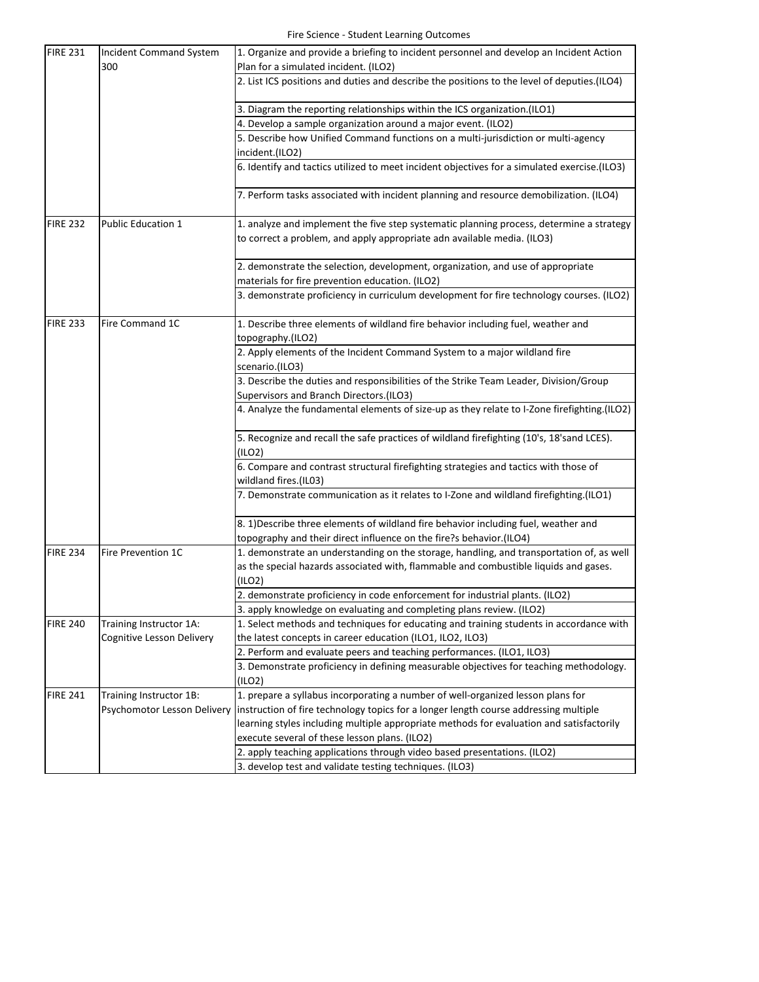| <b>FIRE 231</b> | <b>Incident Command System</b>   | 1. Organize and provide a briefing to incident personnel and develop an Incident Action                                            |
|-----------------|----------------------------------|------------------------------------------------------------------------------------------------------------------------------------|
|                 | 300                              | Plan for a simulated incident. (ILO2)                                                                                              |
|                 |                                  | 2. List ICS positions and duties and describe the positions to the level of deputies.(ILO4)                                        |
|                 |                                  | 3. Diagram the reporting relationships within the ICS organization.(ILO1)                                                          |
|                 |                                  | 4. Develop a sample organization around a major event. (ILO2)                                                                      |
|                 |                                  | 5. Describe how Unified Command functions on a multi-jurisdiction or multi-agency                                                  |
|                 |                                  | incident.(ILO2)                                                                                                                    |
|                 |                                  | 6. Identify and tactics utilized to meet incident objectives for a simulated exercise.(ILO3)                                       |
|                 |                                  | 7. Perform tasks associated with incident planning and resource demobilization. (ILO4)                                             |
| <b>FIRE 232</b> | <b>Public Education 1</b>        | 1. analyze and implement the five step systematic planning process, determine a strategy                                           |
|                 |                                  | to correct a problem, and apply appropriate adn available media. (ILO3)                                                            |
|                 |                                  | 2. demonstrate the selection, development, organization, and use of appropriate<br>materials for fire prevention education. (ILO2) |
|                 |                                  |                                                                                                                                    |
|                 |                                  | 3. demonstrate proficiency in curriculum development for fire technology courses. (ILO2)                                           |
| <b>FIRE 233</b> | Fire Command 1C                  | 1. Describe three elements of wildland fire behavior including fuel, weather and                                                   |
|                 |                                  | topography.(ILO2)                                                                                                                  |
|                 |                                  | 2. Apply elements of the Incident Command System to a major wildland fire                                                          |
|                 |                                  | scenario.(ILO3)                                                                                                                    |
|                 |                                  | 3. Describe the duties and responsibilities of the Strike Team Leader, Division/Group                                              |
|                 |                                  | Supervisors and Branch Directors.(ILO3)                                                                                            |
|                 |                                  | 4. Analyze the fundamental elements of size-up as they relate to I-Zone firefighting.(ILO2)                                        |
|                 |                                  | 5. Recognize and recall the safe practices of wildland firefighting (10's, 18'sand LCES).<br>(ILO2)                                |
|                 |                                  | 6. Compare and contrast structural firefighting strategies and tactics with those of<br>wildland fires.(IL03)                      |
|                 |                                  | 7. Demonstrate communication as it relates to I-Zone and wildland firefighting.(ILO1)                                              |
|                 |                                  | 8. 1) Describe three elements of wildland fire behavior including fuel, weather and                                                |
|                 |                                  | topography and their direct influence on the fire?s behavior.(ILO4)                                                                |
| <b>FIRE 234</b> | Fire Prevention 1C               | 1. demonstrate an understanding on the storage, handling, and transportation of, as well                                           |
|                 |                                  | as the special hazards associated with, flammable and combustible liquids and gases.                                               |
|                 |                                  | (ILO2)                                                                                                                             |
|                 |                                  | 2. demonstrate proficiency in code enforcement for industrial plants. (ILO2)                                                       |
|                 |                                  | 3. apply knowledge on evaluating and completing plans review. (ILO2)                                                               |
| <b>FIRE 240</b> | Training Instructor 1A:          | 1. Select methods and techniques for educating and training students in accordance with                                            |
|                 | <b>Cognitive Lesson Delivery</b> | the latest concepts in career education (ILO1, ILO2, ILO3)                                                                         |
|                 |                                  | 2. Perform and evaluate peers and teaching performances. (ILO1, ILO3)                                                              |
|                 |                                  | 3. Demonstrate proficiency in defining measurable objectives for teaching methodology.                                             |
|                 |                                  | (ILO2)                                                                                                                             |
| <b>FIRE 241</b> | Training Instructor 1B:          | 1. prepare a syllabus incorporating a number of well-organized lesson plans for                                                    |
|                 | Psychomotor Lesson Delivery      | instruction of fire technology topics for a longer length course addressing multiple                                               |
|                 |                                  | learning styles including multiple appropriate methods for evaluation and satisfactorily                                           |
|                 |                                  | execute several of these lesson plans. (ILO2)                                                                                      |
|                 |                                  | 2. apply teaching applications through video based presentations. (ILO2)                                                           |
|                 |                                  | 3. develop test and validate testing techniques. (ILO3)                                                                            |
|                 |                                  |                                                                                                                                    |